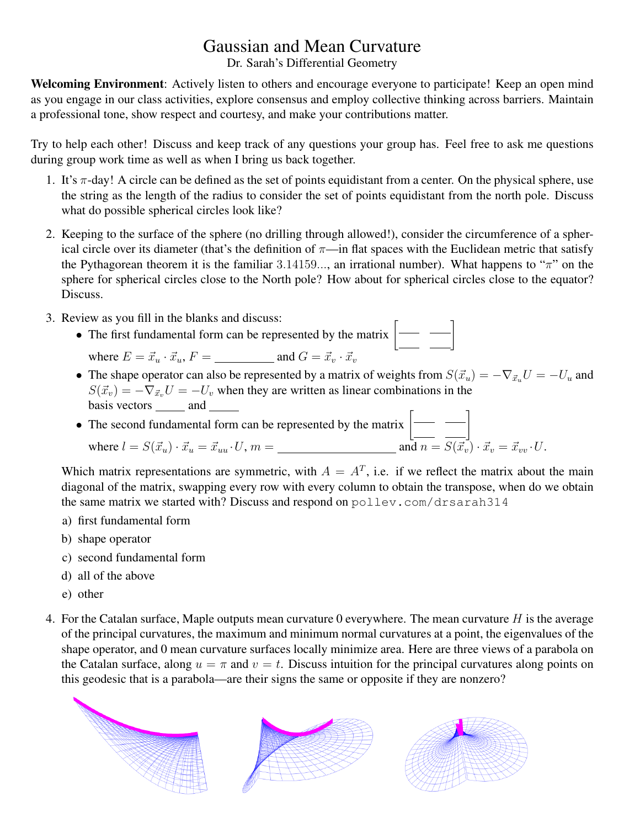## Gaussian and Mean Curvature

Dr. Sarah's Differential Geometry

Welcoming Environment: Actively listen to others and encourage everyone to participate! Keep an open mind as you engage in our class activities, explore consensus and employ collective thinking across barriers. Maintain a professional tone, show respect and courtesy, and make your contributions matter.

Try to help each other! Discuss and keep track of any questions your group has. Feel free to ask me questions during group work time as well as when I bring us back together.

- 1. It's  $\pi$ -day! A circle can be defined as the set of points equidistant from a center. On the physical sphere, use the string as the length of the radius to consider the set of points equidistant from the north pole. Discuss what do possible spherical circles look like?
- 2. Keeping to the surface of the sphere (no drilling through allowed!), consider the circumference of a spherical circle over its diameter (that's the definition of  $\pi$ —in flat spaces with the Euclidean metric that satisfy the Pythagorean theorem it is the familiar 3.14159..., an irrational number). What happens to " $\pi$ " on the sphere for spherical circles close to the North pole? How about for spherical circles close to the equator? Discuss.
- 3. Review as you fill in the blanks and discuss:
	- The first fundamental form can be represented by the matrix  $\boxed{\phantom{a}}$ where E = ~x<sup>u</sup> · ~xu, F = and G = ~x<sup>v</sup> · ~x<sup>v</sup>
	- The shape operator can also be represented by a matrix of weights from  $S(\vec{x}_u) = -\nabla_{\vec{x}_u} U = -U_u$  and  $S(\vec{x}_v) = -\nabla_{\vec{x}_v}U = -U_v$  when they are written as linear combinations in the basis vectors  $\_\_\_\$  and  $\_\_\_\$

• The second fundamental form can be represented by the matrix  $\begin{bmatrix} - & - \end{bmatrix}$ where l = S(~xu) · ~x<sup>u</sup> = ~xuu ·U, m = and n = S(~xv) · ~x<sup>v</sup> = ~xvv ·U.

Which matrix representations are symmetric, with  $A = A<sup>T</sup>$ , i.e. if we reflect the matrix about the main diagonal of the matrix, swapping every row with every column to obtain the transpose, when do we obtain the same matrix we started with? Discuss and respond on pollev.com/drsarah314

- a) first fundamental form
- b) shape operator
- c) second fundamental form
- d) all of the above
- e) other
- 4. For the Catalan surface, Maple outputs mean curvature 0 everywhere. The mean curvature  $H$  is the average of the principal curvatures, the maximum and minimum normal curvatures at a point, the eigenvalues of the shape operator, and 0 mean curvature surfaces locally minimize area. Here are three views of a parabola on the Catalan surface, along  $u = \pi$  and  $v = t$ . Discuss intuition for the principal curvatures along points on this geodesic that is a parabola—are their signs the same or opposite if they are nonzero?